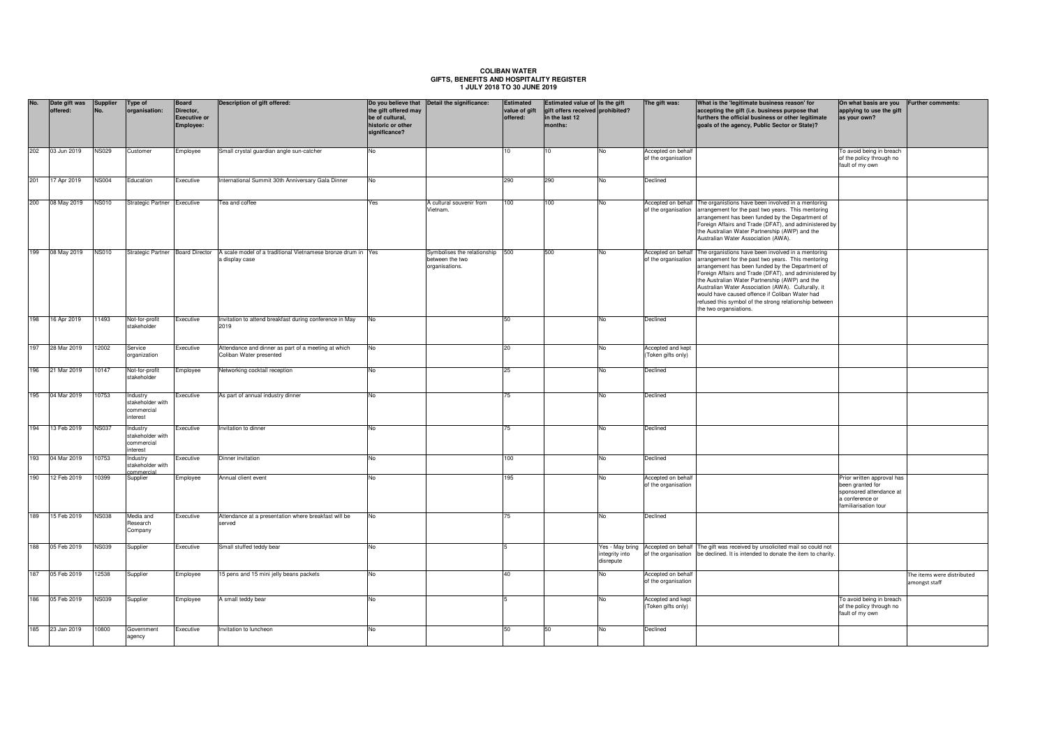## **COLIBAN WATER GIFTS, BENEFITS AND HOSPITALITY REGISTER 1 JULY 2018 TO 30 JUNE 2019**

| No. | Date gift was<br>offered: | Supplier<br><b>No</b> | Type of<br>organisation:                               | Board<br>Director,<br><b>Executive or</b><br>Employee: | Description of gift offered:                                                                                    | the gift offered may<br>be of cultural,<br>historic or other<br>significance? | Do you believe that Detail the significance:                     | Estimated<br>value of gift<br>offered: | Estimated value of Is the gift<br>gift offers received prohibited?<br>in the last 12<br>months: |                             | The gift was:                                             | What is the 'legitimate business reason' for<br>accepting the gift (i.e. business purpose that<br>furthers the official business or other legitimate<br>goals of the agency, Public Sector or State)?                                                                                                                                                                                                                                                               | On what basis are you<br>applying to use the gift<br>as your own?                                                    | <b>Further comments:</b>                    |
|-----|---------------------------|-----------------------|--------------------------------------------------------|--------------------------------------------------------|-----------------------------------------------------------------------------------------------------------------|-------------------------------------------------------------------------------|------------------------------------------------------------------|----------------------------------------|-------------------------------------------------------------------------------------------------|-----------------------------|-----------------------------------------------------------|---------------------------------------------------------------------------------------------------------------------------------------------------------------------------------------------------------------------------------------------------------------------------------------------------------------------------------------------------------------------------------------------------------------------------------------------------------------------|----------------------------------------------------------------------------------------------------------------------|---------------------------------------------|
| 202 | 03 Jun 2019               | <b>NS029</b>          | Customer                                               | Employee                                               | Small crystal guardian angle sun-catcher                                                                        | No                                                                            |                                                                  | 10                                     | 10 <sup>1</sup>                                                                                 | No                          | Accepted on behalf<br>of the organisation                 |                                                                                                                                                                                                                                                                                                                                                                                                                                                                     | To avoid being in breach<br>of the policy through no<br>fault of my own                                              |                                             |
| 201 | 17 Apr 2019               | <b>NS004</b>          | Education                                              | Executive                                              | International Summit 30th Anniversary Gala Dinner                                                               | No                                                                            |                                                                  | 290                                    | 290                                                                                             | No                          | Declined                                                  |                                                                                                                                                                                                                                                                                                                                                                                                                                                                     |                                                                                                                      |                                             |
|     | 200 08 May 2019           | <b>NS010</b>          | Strategic Partner Executive                            |                                                        | Fea and coffee                                                                                                  | Yes                                                                           | A cultural souvenir from<br>Vietnam.                             | 100                                    | 100                                                                                             | No                          | Accepted on behalf<br>of the organisation                 | The organistions have been involved in a mentoring<br>arrangement for the past two years. This mentoring<br>arrangement has been funded by the Department of<br>Foreign Affairs and Trade (DFAT), and administered by<br>the Australian Water Partnership (AWP) and the<br>Australian Water Association (AWA).                                                                                                                                                      |                                                                                                                      |                                             |
| 199 | 08 May 2019               | <b>NS010</b>          |                                                        |                                                        | Strategic Partner Board Director A scale model of a traditional Vietnamese bronze drum in Yes<br>a display case |                                                                               | Symbolises the relationship<br>between the two<br>organisations. | 500                                    | 500                                                                                             | No                          | Accepted on behalf<br>of the organisation                 | The organistions have been involved in a mentoring<br>arrangement for the past two years. This mentoring<br>arrangement has been funded by the Department of<br>Foreign Affairs and Trade (DFAT), and administered by<br>the Australian Water Partnership (AWP) and the<br>Australian Water Association (AWA). Culturally, it<br>would have caused offence if Coliban Water had<br>refused this symbol of the strong relationship between<br>the two organsiations. |                                                                                                                      |                                             |
| 198 | 16 Apr 2019               | 11493                 | Not-for-profit<br>stakeholder                          | Executive                                              | Invitation to attend breakfast during conference in May<br>2019                                                 | No                                                                            |                                                                  | 50                                     |                                                                                                 | No                          | Declined                                                  |                                                                                                                                                                                                                                                                                                                                                                                                                                                                     |                                                                                                                      |                                             |
| 197 | 28 Mar 2019               | 12002                 | Service<br>organization                                | Executive                                              | Attendance and dinner as part of a meeting at which<br>Coliban Water presented                                  | No                                                                            |                                                                  | 20                                     |                                                                                                 | No                          | Accepted and kept<br>Token gifts only)                    |                                                                                                                                                                                                                                                                                                                                                                                                                                                                     |                                                                                                                      |                                             |
| 196 | 21 Mar 2019               | 10147                 | Not-for-profit<br>stakeholder                          | Employee                                               | Networking cocktail reception                                                                                   | No                                                                            |                                                                  | 25                                     |                                                                                                 | N٥                          | Declined                                                  |                                                                                                                                                                                                                                                                                                                                                                                                                                                                     |                                                                                                                      |                                             |
| 195 | 04 Mar 2019               | 10753                 | Industry<br>stakeholder with<br>commercial<br>interest | Executive                                              | As part of annual industry dinner                                                                               | <b>No</b>                                                                     |                                                                  | 75                                     |                                                                                                 | No                          | Declined                                                  |                                                                                                                                                                                                                                                                                                                                                                                                                                                                     |                                                                                                                      |                                             |
| 194 | 13 Feb 2019               | <b>NS037</b>          | Industry<br>stakeholder with<br>commercial<br>interest | Executive                                              | Invitation to dinner                                                                                            | <b>No</b>                                                                     |                                                                  | 75                                     |                                                                                                 | No                          | Declined                                                  |                                                                                                                                                                                                                                                                                                                                                                                                                                                                     |                                                                                                                      |                                             |
| 193 | 04 Mar 2019               | 10753                 | Industry<br>stakeholder with                           | Executive                                              | Dinner invitation                                                                                               | No                                                                            |                                                                  | 100                                    |                                                                                                 | No                          | Declined                                                  |                                                                                                                                                                                                                                                                                                                                                                                                                                                                     |                                                                                                                      |                                             |
| 190 | 12 Feb 2019               | 10399                 | commercial<br>Supplier                                 | Employee                                               | Annual client event                                                                                             | No                                                                            |                                                                  | 195                                    |                                                                                                 | No                          | Accepted on behalf<br>of the organisation                 |                                                                                                                                                                                                                                                                                                                                                                                                                                                                     | Prior written approval has<br>been granted for<br>sponsored attendance at<br>a conference or<br>familiarisation tour |                                             |
| 189 | 15 Feb 2019               | <b>NS038</b>          | Media and<br>Research<br>Company                       | Executive                                              | Attendance at a presentation where breakfast will be<br>served                                                  | No                                                                            |                                                                  | 75                                     |                                                                                                 | No                          | Declined                                                  |                                                                                                                                                                                                                                                                                                                                                                                                                                                                     |                                                                                                                      |                                             |
| 188 | 05 Feb 2019               | <b>NS039</b>          | Supplier                                               | Executive                                              | Small stuffed teddy bear                                                                                        | No                                                                            |                                                                  |                                        |                                                                                                 | integrity into<br>disrepute | Yes - May bring Accepted on behalf<br>of the organisation | The gift was received by unsolicited mail so could not<br>be declined. It is intended to donate the item to charity.                                                                                                                                                                                                                                                                                                                                                |                                                                                                                      |                                             |
| 187 | 05 Feb 2019               | 12538                 | Supplier                                               | Employee                                               | 15 pens and 15 mini jelly beans packets                                                                         | No                                                                            |                                                                  | 40                                     |                                                                                                 | No                          | Accepted on behalf<br>of the organisation                 |                                                                                                                                                                                                                                                                                                                                                                                                                                                                     |                                                                                                                      | The items were distributed<br>amongst staff |
| 186 | 05 Feb 2019               | <b>NS039</b>          | Supplier                                               | Employee                                               | A small teddy bear                                                                                              | No                                                                            |                                                                  |                                        |                                                                                                 | No.                         | Accepted and kept<br>(Token gifts only)                   |                                                                                                                                                                                                                                                                                                                                                                                                                                                                     | To avoid being in breach<br>of the policy through no<br>fault of my own                                              |                                             |
| 185 | 23 Jan 2019               | 10800                 | Government<br>agency                                   | Executive                                              | Invitation to luncheon                                                                                          | No                                                                            |                                                                  | 50                                     | 50                                                                                              | No                          | Declined                                                  |                                                                                                                                                                                                                                                                                                                                                                                                                                                                     |                                                                                                                      |                                             |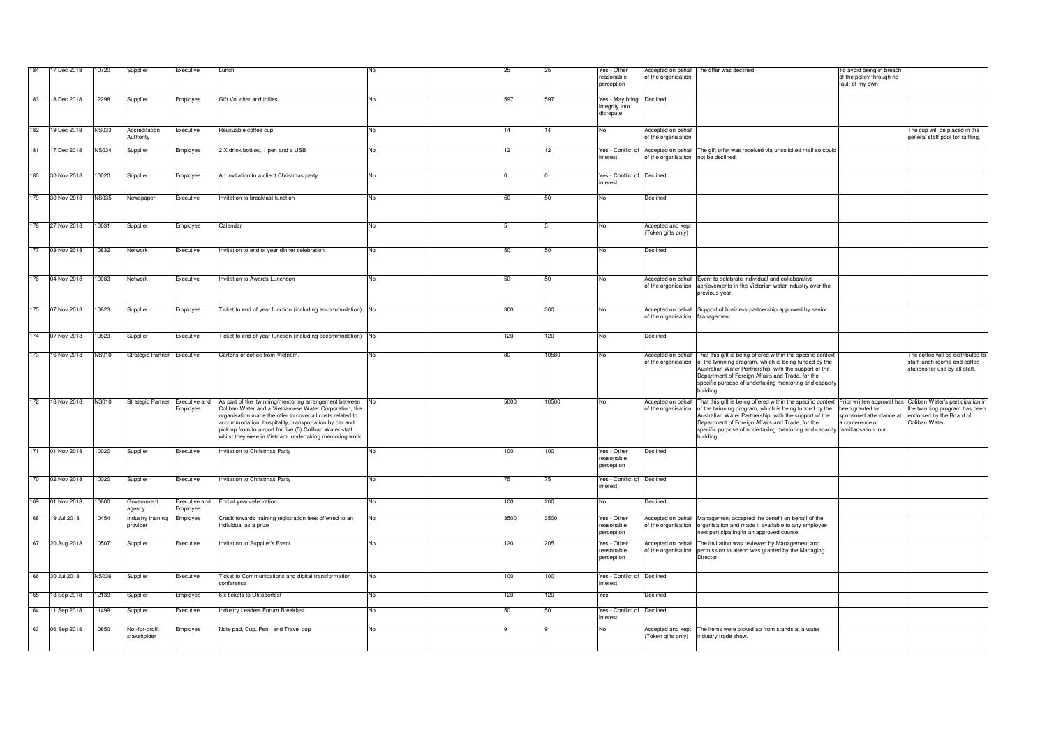| 184 | 17 Dec 2018     | 10720        | Supplier                        | Executive                 | Lunch                                                                                                                                                                                                                                                                                                                                                         | No  | 25   | 25    | Yes - Other                                             |                                                             | Accepted on behalf The offer was declined.                                                                                                                                                                                                                                                                                                                                                                  | To avoid being in breach                                       |                                                                                                     |
|-----|-----------------|--------------|---------------------------------|---------------------------|---------------------------------------------------------------------------------------------------------------------------------------------------------------------------------------------------------------------------------------------------------------------------------------------------------------------------------------------------------------|-----|------|-------|---------------------------------------------------------|-------------------------------------------------------------|-------------------------------------------------------------------------------------------------------------------------------------------------------------------------------------------------------------------------------------------------------------------------------------------------------------------------------------------------------------------------------------------------------------|----------------------------------------------------------------|-----------------------------------------------------------------------------------------------------|
|     |                 |              |                                 |                           |                                                                                                                                                                                                                                                                                                                                                               |     |      |       | reasonable<br>perception                                | of the organisation                                         |                                                                                                                                                                                                                                                                                                                                                                                                             | of the policy through no<br>fault of my own                    |                                                                                                     |
| 183 | 18 Dec 2018     | 12298        | Supplier                        | Employee                  | Gift Voucher and Iollies                                                                                                                                                                                                                                                                                                                                      | No  | 597  | 597   | Yes - May bring Declined<br>integrity into<br>disrepute |                                                             |                                                                                                                                                                                                                                                                                                                                                                                                             |                                                                |                                                                                                     |
| 182 | 19 Dec 2018     | <b>NS033</b> | Accreditation<br>Authority      | Executive                 | Reusuable coffee cup                                                                                                                                                                                                                                                                                                                                          | No  | 14   | 14    | No                                                      | Accepted on behalf<br>of the organisation                   |                                                                                                                                                                                                                                                                                                                                                                                                             |                                                                | The cup will be placed in the<br>general staff pool for raffling.                                   |
| 181 | 17 Dec 2018     | <b>NS034</b> | Supplier                        | Employee                  | 2 X drink bottles, 1 pen and a USB                                                                                                                                                                                                                                                                                                                            | No  | 12   | 12    | interest                                                | Yes - Conflict of Accepted on behalf<br>of the organisation | The gift offer was received via unsolicited mail so could<br>not be declined.                                                                                                                                                                                                                                                                                                                               |                                                                |                                                                                                     |
| 180 | 30 Nov 2018     | 10020        | Supplier                        | Employee                  | An invitation to a client Christmas party                                                                                                                                                                                                                                                                                                                     | No  |      |       | Yes - Conflict of Declined<br>interest                  |                                                             |                                                                                                                                                                                                                                                                                                                                                                                                             |                                                                |                                                                                                     |
| 179 | 30 Nov 2018     | <b>NS035</b> | Newspaper                       | Executive                 | nvitation to breakfast function                                                                                                                                                                                                                                                                                                                               | No  | 50   | 50    | No                                                      | Declined                                                    |                                                                                                                                                                                                                                                                                                                                                                                                             |                                                                |                                                                                                     |
|     | 178 27 Nov 2018 | 10031        | Supplier                        | Employee                  | Calendar                                                                                                                                                                                                                                                                                                                                                      | No  |      |       | No                                                      | Accepted and kept<br>(Token gifts only)                     |                                                                                                                                                                                                                                                                                                                                                                                                             |                                                                |                                                                                                     |
| 177 | 08 Nov 2018     | 10832        | Network                         | Executive                 | Invitation to end of year dinner celebration                                                                                                                                                                                                                                                                                                                  | No  | 50   | 50    | No                                                      | Declined                                                    |                                                                                                                                                                                                                                                                                                                                                                                                             |                                                                |                                                                                                     |
|     | 176 04 Nov 2018 | 10083        | Network                         | Executive                 | nvitation to Awards Luncheon                                                                                                                                                                                                                                                                                                                                  | No  | 50   | 50    | No                                                      | of the organisation                                         | Accepted on behalf Event to celebrate individual and collaborative<br>achievements in the Victorian water industry over the<br>previous year.                                                                                                                                                                                                                                                               |                                                                |                                                                                                     |
| 175 | 07 Nov 2018     | 10823        | Supplier                        | Employee                  | Ticket to end of year function (including accommodation) No                                                                                                                                                                                                                                                                                                   |     | 300  | 300   | No                                                      | of the organisation                                         | Accepted on behalf Support of business partnership approved by senior<br>Management                                                                                                                                                                                                                                                                                                                         |                                                                |                                                                                                     |
|     | 174 07 Nov 2018 | 10823        | Supplier                        | Executive                 | Ticket to end of year function (including accommodation) No                                                                                                                                                                                                                                                                                                   |     | 120  | 120   | No                                                      | Declined                                                    |                                                                                                                                                                                                                                                                                                                                                                                                             |                                                                |                                                                                                     |
| 173 | 16 Nov 2018     | <b>NS010</b> | Strategic Partner Executive     |                           | Cartons of coffee from Vietnam.                                                                                                                                                                                                                                                                                                                               | No  | 80   | 10580 | No                                                      | of the organisation                                         | Accepted on behalf That this gift is being offered within the specific context<br>of the twinning program, which is being funded by the<br>Australian Water Partnership, with the support of the<br>Department of Foreign Affairs and Trade, for the<br>specific purpose of undertaking mentoring and capacity<br>building                                                                                  |                                                                | The coffee will be distributed to<br>staff lunch rooms and coffee<br>stations for use by all staff. |
| 172 | 16 Nov 2018     | <b>NS010</b> | Strategic Partner Executive and | Employee                  | As part of the twinning/mentoring arrangement between No<br>Coliban Water and a Vietnamese Water Corporation, the<br>organisation made the offer to cover all costs related to<br>accommodation, hospitality, transportation by car and<br>pick up from/to airport for five (5) Coliban Water staff<br>whilst they were in Vietnam undertaking mentoring work |     | 5000 | 10500 | No                                                      | of the organisation                                         | Accepted on behalf That this gift is being offered within the specific context Prior written approval has Coliban Water's participation in<br>of the twinning program, which is being funded by the<br>Australian Water Partnership, with the support of the<br>Department of Foreign Affairs and Trade, for the<br>specific purpose of undertaking mentoring and capacity familiarisation tour<br>building | been granted for<br>sponsored attendance at<br>a conference or | the twinning program has been<br>endorsed by the Board of<br>Coliban Water.                         |
|     | 171 01 Nov 2018 | 10020        | Supplier                        | Executive                 | Invitation to Christmas Party                                                                                                                                                                                                                                                                                                                                 | No  | 100  | 100   | Yes - Other<br>reasonable<br>perception                 | Declined                                                    |                                                                                                                                                                                                                                                                                                                                                                                                             |                                                                |                                                                                                     |
| 170 | 02 Nov 2018     | 10020        | Supplier                        | Executive                 | nvitation to Christmas Party                                                                                                                                                                                                                                                                                                                                  | No  | 75   | 75    | Yes - Conflict of Declined<br>interest                  |                                                             |                                                                                                                                                                                                                                                                                                                                                                                                             |                                                                |                                                                                                     |
| 169 | 01 Nov 2018     | 10800        | Government<br>agency            | Executive and<br>Employee | End of year celebration                                                                                                                                                                                                                                                                                                                                       | No. | 100  | 200   | No                                                      | Declined                                                    |                                                                                                                                                                                                                                                                                                                                                                                                             |                                                                |                                                                                                     |
| 168 | 19 Jul 2018     | 10454        | Industry training<br>provider   | Employee                  | Credit towards training registration fees offerred to an<br>ndividual as a prize                                                                                                                                                                                                                                                                              | No  | 3500 | 3500  | Yes - Other<br>reasonable<br>perception                 | of the organisation                                         | Accepted on behalf Management accepted the benefit on behalf of the<br>organisation and made it available to any employee<br>next participating in an approved course.                                                                                                                                                                                                                                      |                                                                |                                                                                                     |
| 167 | 20 Aug 2018     | 10507        | Supplier                        | Executive                 | Invitation to Supplier's Event                                                                                                                                                                                                                                                                                                                                | No  | 120  | 205   | Yes - Other<br>reasonable<br>perception                 | of the organisation                                         | Accepted on behalf The invitation was reviewed by Management and<br>permission to attend was granted by the Managing<br>Director.                                                                                                                                                                                                                                                                           |                                                                |                                                                                                     |
| 166 | 30 Jul 2018     | <b>NS036</b> | Supplier                        | Executive                 | Ticket to Communications and digital transformation<br>conference                                                                                                                                                                                                                                                                                             | No  | 100  | 100   | Yes - Conflict of Declined<br>interest                  |                                                             |                                                                                                                                                                                                                                                                                                                                                                                                             |                                                                |                                                                                                     |
| 165 | 18 Sep 2018     | 12139        | Supplier                        | Employee                  | 6 x tickets to Oktoberfest                                                                                                                                                                                                                                                                                                                                    | No  | 120  | 120   | Yes                                                     | Declined                                                    |                                                                                                                                                                                                                                                                                                                                                                                                             |                                                                |                                                                                                     |
| 164 | 11 Sep 2018     | 11499        | Supplier                        | Executive                 | Industry Leaders Forum Breakfast                                                                                                                                                                                                                                                                                                                              | No  | 50   | 50    | Yes - Conflict of Declined<br>nterest                   |                                                             |                                                                                                                                                                                                                                                                                                                                                                                                             |                                                                |                                                                                                     |
| 163 | 06 Sep 2018     | 10850        | Not-for-profit<br>stakeholder   | Employee                  | Note pad, Cup, Pen, and Travel cup                                                                                                                                                                                                                                                                                                                            | No. |      |       | No.                                                     | (Token gifts only)                                          | Accepted and kept The items were picked up from stands at a water<br>industry trade show.                                                                                                                                                                                                                                                                                                                   |                                                                |                                                                                                     |